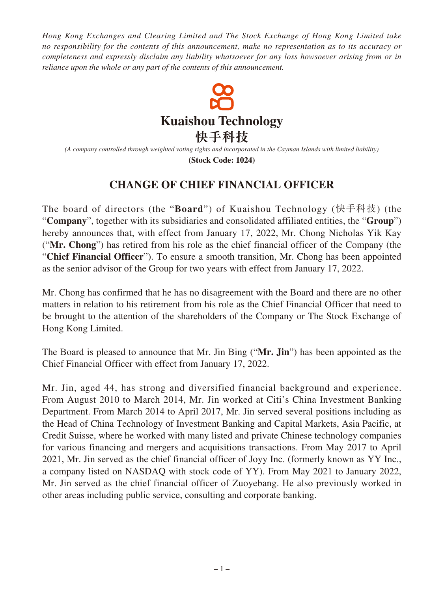*Hong Kong Exchanges and Clearing Limited and The Stock Exchange of Hong Kong Limited take no responsibility for the contents of this announcement, make no representation as to its accuracy or completeness and expressly disclaim any liability whatsoever for any loss howsoever arising from or in reliance upon the whole or any part of the contents of this announcement.*



*(A company controlled through weighted voting rights and incorporated in the Cayman Islands with limited liability)*

**(Stock Code: 1024)**

## **CHANGE OF CHIEF FINANCIAL OFFICER**

The board of directors (the "**Board**") of Kuaishou Technology (快手科技) (the "**Company**", together with its subsidiaries and consolidated affiliated entities, the "**Group**") hereby announces that, with effect from January 17, 2022, Mr. Chong Nicholas Yik Kay ("**Mr. Chong**") has retired from his role as the chief financial officer of the Company (the "**Chief Financial Officer**"). To ensure a smooth transition, Mr. Chong has been appointed as the senior advisor of the Group for two years with effect from January 17, 2022.

Mr. Chong has confirmed that he has no disagreement with the Board and there are no other matters in relation to his retirement from his role as the Chief Financial Officer that need to be brought to the attention of the shareholders of the Company or The Stock Exchange of Hong Kong Limited.

The Board is pleased to announce that Mr. Jin Bing ("**Mr. Jin**") has been appointed as the Chief Financial Officer with effect from January 17, 2022.

Mr. Jin, aged 44, has strong and diversified financial background and experience. From August 2010 to March 2014, Mr. Jin worked at Citi's China Investment Banking Department. From March 2014 to April 2017, Mr. Jin served several positions including as the Head of China Technology of Investment Banking and Capital Markets, Asia Pacific, at Credit Suisse, where he worked with many listed and private Chinese technology companies for various financing and mergers and acquisitions transactions. From May 2017 to April 2021, Mr. Jin served as the chief financial officer of Joyy Inc. (formerly known as YY Inc., a company listed on NASDAQ with stock code of YY). From May 2021 to January 2022, Mr. Jin served as the chief financial officer of Zuoyebang. He also previously worked in other areas including public service, consulting and corporate banking.